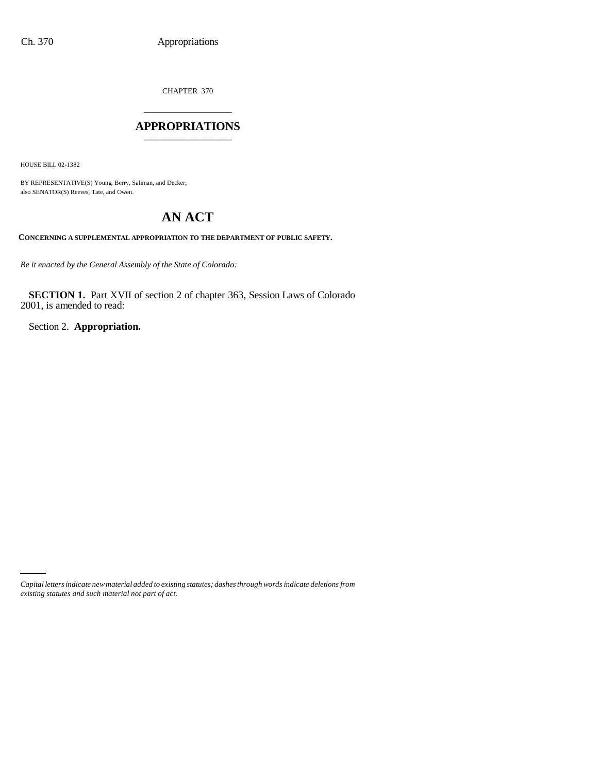CHAPTER 370 \_\_\_\_\_\_\_\_\_\_\_\_\_\_\_

## **APPROPRIATIONS** \_\_\_\_\_\_\_\_\_\_\_\_\_\_\_

HOUSE BILL 02-1382

BY REPRESENTATIVE(S) Young, Berry, Saliman, and Decker; also SENATOR(S) Reeves, Tate, and Owen.

# **AN ACT**

**CONCERNING A SUPPLEMENTAL APPROPRIATION TO THE DEPARTMENT OF PUBLIC SAFETY.**

*Be it enacted by the General Assembly of the State of Colorado:*

**SECTION 1.** Part XVII of section 2 of chapter 363, Session Laws of Colorado 2001, is amended to read:

Section 2. **Appropriation.**

*Capital letters indicate new material added to existing statutes; dashes through words indicate deletions from existing statutes and such material not part of act.*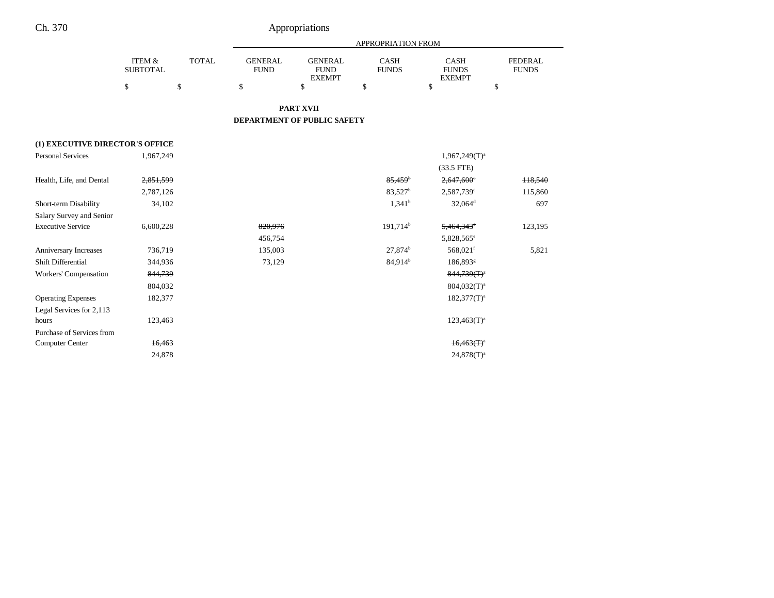|                                 |                                      |              |                               |                                                | <b>APPROPRIATION FROM</b>                                                   |                        |                                |
|---------------------------------|--------------------------------------|--------------|-------------------------------|------------------------------------------------|-----------------------------------------------------------------------------|------------------------|--------------------------------|
|                                 | <b>ITEM &amp;</b><br><b>SUBTOTAL</b> | <b>TOTAL</b> | <b>GENERAL</b><br><b>FUND</b> | <b>GENERAL</b><br><b>FUND</b><br><b>EXEMPT</b> | <b>CASH</b><br><b>CASH</b><br><b>FUNDS</b><br><b>FUNDS</b><br><b>EXEMPT</b> |                        | <b>FEDERAL</b><br><b>FUNDS</b> |
|                                 | \$                                   | \$           | \$                            | \$                                             | \$                                                                          | \$                     | \$                             |
|                                 |                                      |              |                               | <b>PART XVII</b>                               |                                                                             |                        |                                |
|                                 |                                      |              |                               | DEPARTMENT OF PUBLIC SAFETY                    |                                                                             |                        |                                |
| (1) EXECUTIVE DIRECTOR'S OFFICE |                                      |              |                               |                                                |                                                                             |                        |                                |
| <b>Personal Services</b>        | 1,967,249                            |              |                               |                                                | $1,967,249(T)^a$                                                            |                        |                                |
|                                 |                                      |              |                               |                                                | $(33.5$ FTE)                                                                |                        |                                |
| Health, Life, and Dental        | 2,851,599                            |              |                               |                                                | $2,647,600$ <sup>e</sup><br>$85,459$ <sup>b</sup>                           |                        | 118,540                        |
|                                 | 2,787,126                            |              |                               |                                                | 83,527 <sup>b</sup><br>2,587,739c                                           |                        | 115,860                        |
| Short-term Disability           | 34,102                               |              |                               |                                                | $32,064$ <sup>d</sup><br>$1,341^b$                                          |                        | 697                            |
| Salary Survey and Senior        |                                      |              |                               |                                                |                                                                             |                        |                                |
| <b>Executive Service</b>        | 6,600,228                            |              | 820,976                       |                                                | 191,714 <sup>b</sup>                                                        | 5,464,343°             | 123,195                        |
|                                 |                                      |              | 456,754                       |                                                |                                                                             | 5,828,565 <sup>e</sup> |                                |
| Anniversary Increases           | 736,719                              |              | 135,003                       |                                                | $27,874^b$                                                                  | 568,021f               | 5,821                          |
| Shift Differential              | 344,936                              |              | 73,129                        |                                                | 84,914 <sup>b</sup>                                                         | 186,893 <sup>g</sup>   |                                |
| Workers' Compensation           | 844,739                              |              |                               |                                                |                                                                             | $844,739(T)^4$         |                                |
|                                 | 804,032                              |              |                               |                                                |                                                                             | $804,032(T)^a$         |                                |
| <b>Operating Expenses</b>       | 182,377                              |              |                               |                                                |                                                                             | $182,377(T)^a$         |                                |
| Legal Services for 2,113        |                                      |              |                               |                                                |                                                                             |                        |                                |
| hours                           | 123,463                              |              |                               |                                                |                                                                             | $123,463(T)^{a}$       |                                |
| Purchase of Services from       |                                      |              |                               |                                                |                                                                             |                        |                                |
| <b>Computer Center</b>          | 16,463                               |              |                               |                                                |                                                                             | $16,463(T)^{4}$        |                                |
|                                 | 24,878                               |              |                               |                                                |                                                                             | $24,878(T)^a$          |                                |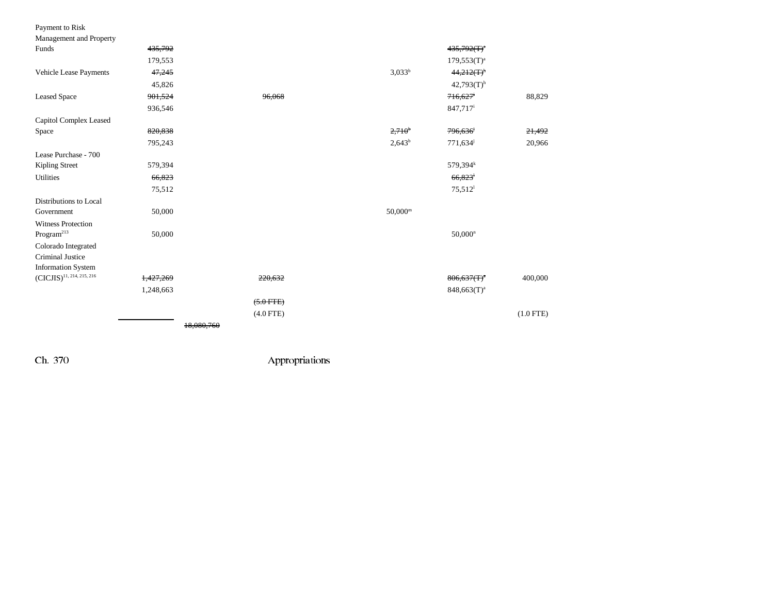| Payment to Risk                |           |             |                    |                          |             |
|--------------------------------|-----------|-------------|--------------------|--------------------------|-------------|
| Management and Property        |           |             |                    |                          |             |
| Funds                          | 435,792   |             |                    | $435,792(T)^4$           |             |
|                                | 179,553   |             |                    | $179,553(T)^{a}$         |             |
| Vehicle Lease Payments         | 47,245    |             | $3,033^{b}$        | $44,212(T)^n$            |             |
|                                | 45,826    |             |                    | $42,793(T)$ <sup>h</sup> |             |
| <b>Leased Space</b>            | 901,524   | 96,068      |                    | 716,627                  | 88,829      |
|                                | 936,546   |             |                    | 847,717 <sup>i</sup>     |             |
| Capitol Complex Leased         |           |             |                    |                          |             |
| Space                          | 820,838   |             | 2,710 <sup>b</sup> | 796,636 <sup>j</sup>     | 21,492      |
|                                | 795,243   |             | $2,643^b$          | 771,634 <sup>j</sup>     | 20,966      |
| Lease Purchase - 700           |           |             |                    |                          |             |
| Kipling Street                 | 579,394   |             |                    | 579,394 <sup>k</sup>     |             |
| <b>Utilities</b>               | 66,823    |             |                    | 66,823                   |             |
|                                | 75,512    |             |                    | $75,512$ <sup>1</sup>    |             |
| Distributions to Local         |           |             |                    |                          |             |
| Government                     | 50,000    |             | $50,000^{\rm m}$   |                          |             |
| <b>Witness Protection</b>      |           |             |                    |                          |             |
| $\rm{Program}^{213}$           | 50,000    |             |                    | $50,000^n$               |             |
| Colorado Integrated            |           |             |                    |                          |             |
| <b>Criminal Justice</b>        |           |             |                    |                          |             |
| <b>Information System</b>      |           |             |                    |                          |             |
| $(CICJIS)^{11, 214, 215, 216}$ | 1,427,269 | 220,632     |                    | $806,637(f)^4$           | 400,000     |
|                                | 1,248,663 |             |                    | $848,663(T)^a$           |             |
|                                |           | $(5.0$ FTE) |                    |                          |             |
|                                |           | $(4.0$ FTE) |                    |                          | $(1.0$ FTE) |
|                                |           | 18,080,760  |                    |                          |             |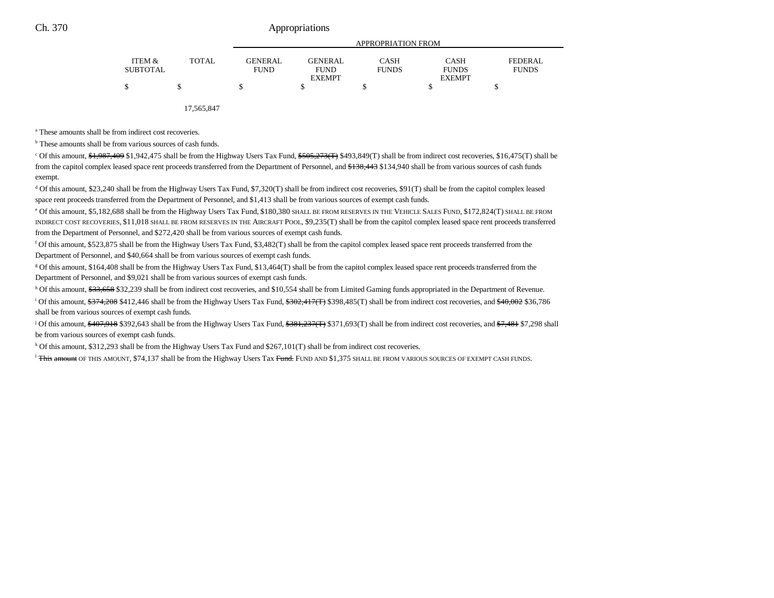|                 |              |                |                | <b>APPROPRIATION FROM</b> |               |                |
|-----------------|--------------|----------------|----------------|---------------------------|---------------|----------------|
| ITEM &          | <b>TOTAL</b> | <b>GENERAL</b> | <b>GENERAL</b> | CASH                      | <b>CASH</b>   | <b>FEDERAL</b> |
| <b>SUBTOTAL</b> |              | <b>FUND</b>    | <b>FUND</b>    | <b>FUNDS</b>              | <b>FUNDS</b>  | <b>FUNDS</b>   |
|                 |              |                | <b>EXEMPT</b>  |                           | <b>EXEMPT</b> |                |
|                 |              | S              |                |                           |               |                |
|                 |              |                |                |                           |               |                |

17,565,847

a These amounts shall be from indirect cost recoveries.

<sup>b</sup> These amounts shall be from various sources of cash funds.

 $\degree$  Of this amount,  $\frac{1}{2}$ ,  $\frac{1}{2}$ ,  $\frac{409}{1}$ ,  $\frac{47}{1}$ ,  $\frac{47}{1}$ ,  $\frac{47}{1}$ ,  $\frac{47}{1}$ ,  $\frac{47}{1}$ ,  $\frac{47}{1}$ ,  $\frac{47}{1}$ ,  $\frac{47}{1}$ ,  $\frac{47}{1}$ ,  $\frac{47}{1}$ ,  $\frac{47}{1}$ ,  $\frac{47}{1}$ ,  $\frac{47}{1}$ ,  $\frac{47}{1}$ from the capitol complex leased space rent proceeds transferred from the Department of Personnel, and  $\frac{4138,443}{134,940}$  shall be from various sources of cash funds exempt.

d Of this amount, \$23,240 shall be from the Highway Users Tax Fund, \$7,320(T) shall be from indirect cost recoveries, \$91(T) shall be from the capitol complex leased space rent proceeds transferred from the Department of Personnel, and \$1,413 shall be from various sources of exempt cash funds.

e Of this amount, \$5,182,688 shall be from the Highway Users Tax Fund, \$180,380 SHALL BE FROM RESERVES IN THE VEHICLE SALES FUND, \$172,824(T) SHALL BE FROM INDIRECT COST RECOVERIES, \$11,018 SHALL BE FROM RESERVES IN THE AIRCRAFT POOL, \$9,235(T) shall be from the capitol complex leased space rent proceeds transferred from the Department of Personnel, and \$272,420 shall be from various sources of exempt cash funds.

f Of this amount, \$523,875 shall be from the Highway Users Tax Fund, \$3,482(T) shall be from the capitol complex leased space rent proceeds transferred from the Department of Personnel, and \$40,664 shall be from various sources of exempt cash funds.

g Of this amount, \$164,408 shall be from the Highway Users Tax Fund, \$13,464(T) shall be from the capitol complex leased space rent proceeds transferred from the Department of Personnel, and \$9,021 shall be from various sources of exempt cash funds.

h Of this amount, \$33,658 \$32,239 shall be from indirect cost recoveries, and \$10,554 shall be from Limited Gaming funds appropriated in the Department of Revenue.

<sup>i</sup> Of this amount,  $$374,208$  \$412,446 shall be from the Highway Users Tax Fund,  $$302,417(T)$  \$398,485(T) shall be from indirect cost recoveries, and  $$40,002$  \$36,786 shall be from various sources of exempt cash funds.

<sup>j</sup> Of this amount, \$407,918 \$392,643 shall be from the Highway Users Tax Fund, \$381,237(T) \$371,693(T) shall be from indirect cost recoveries, and \$7,481 \$7,298 shall be from various sources of exempt cash funds.

k Of this amount, \$312,293 shall be from the Highway Users Tax Fund and \$267,101(T) shall be from indirect cost recoveries.

<sup>l</sup> <del>This amount</del> OF THIS AMOUNT, \$74,137 shall be from the Highway Users Tax <del>Fund.</del> Fund and \$1,375 shall be from various sources of exempt cash funds.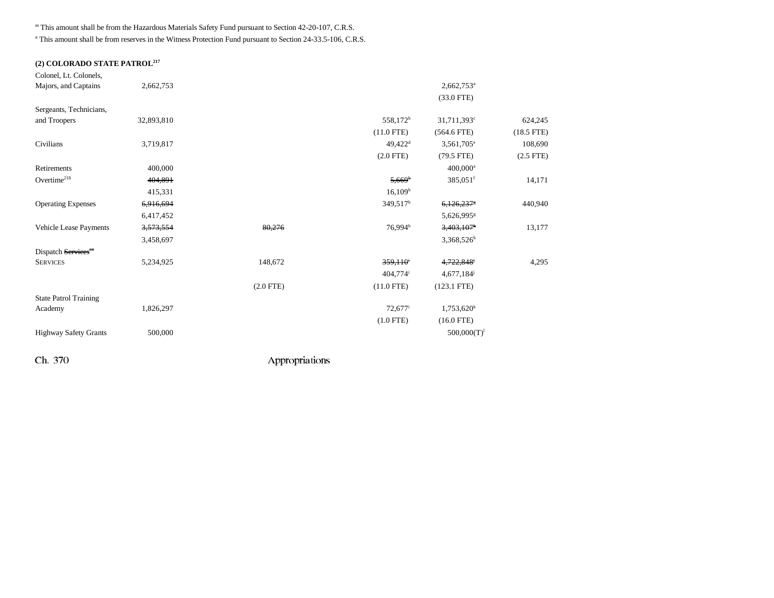m This amount shall be from the Hazardous Materials Safety Fund pursuant to Section 42-20-107, C.R.S.

<sup>n</sup> This amount shall be from reserves in the Witness Protection Fund pursuant to Section 24-33.5-106, C.R.S.

## **(2) COLORADO STATE PATROL217**

| Colonel, Lt. Colonels,       |            |                |                        |                           |                |
|------------------------------|------------|----------------|------------------------|---------------------------|----------------|
| Majors, and Captains         | 2,662,753  |                |                        | $2,662,753$ <sup>a</sup>  |                |
|                              |            |                |                        | $(33.0$ FTE)              |                |
| Sergeants, Technicians,      |            |                |                        |                           |                |
| and Troopers                 | 32,893,810 |                | 558,172 <sup>b</sup>   | $31,711,393$ <sup>c</sup> | 624,245        |
|                              |            |                | $(11.0$ FTE)           | $(564.6$ FTE)             | $(18.5$ FTE)   |
| Civilians                    | 3,719,817  |                | $49,422$ <sup>d</sup>  | $3,561,705^e$             | 108,690        |
|                              |            |                | $(2.0$ FTE $)$         | $(79.5$ FTE)              | $(2.5$ FTE $)$ |
| Retirements                  | 400,000    |                |                        | $400,000^{\rm a}$         |                |
| Overtime <sup>218</sup>      | 404,891    |                | $5,669^{\circ}$        | $385,051$ <sup>f</sup>    | 14,171         |
|                              | 415,331    |                | 16,109 <sup>b</sup>    |                           |                |
| <b>Operating Expenses</b>    | 6,916,694  |                | 349,517 <sup>b</sup>   | 6,126,2378                | 440,940        |
|                              | 6,417,452  |                |                        | 5,626,995 <sup>g</sup>    |                |
| Vehicle Lease Payments       | 3,573,554  | 80,276         | 76,994 <sup>b</sup>    | 3,403,107                 | 13,177         |
|                              | 3,458,697  |                |                        | $3,368,526^h$             |                |
| Dispatch Services"           |            |                |                        |                           |                |
| <b>SERVICES</b>              | 5,234,925  | 148,672        | 359,110                | 4,722,848 <sup>j</sup>    | 4,295          |
|                              |            |                | $404,774$ <sup>i</sup> | 4,677,184                 |                |
|                              |            | $(2.0$ FTE $)$ | $(11.0$ FTE)           | $(123.1$ FTE)             |                |
| <b>State Patrol Training</b> |            |                |                        |                           |                |
| Academy                      | 1,826,297  |                | $72,677$ <sup>i</sup>  | 1,753,620 <sup>k</sup>    |                |
|                              |            |                | $(1.0$ FTE)            | $(16.0$ FTE)              |                |
| <b>Highway Safety Grants</b> | 500,000    |                |                        | $500,000(T)^1$            |                |
|                              |            |                |                        |                           |                |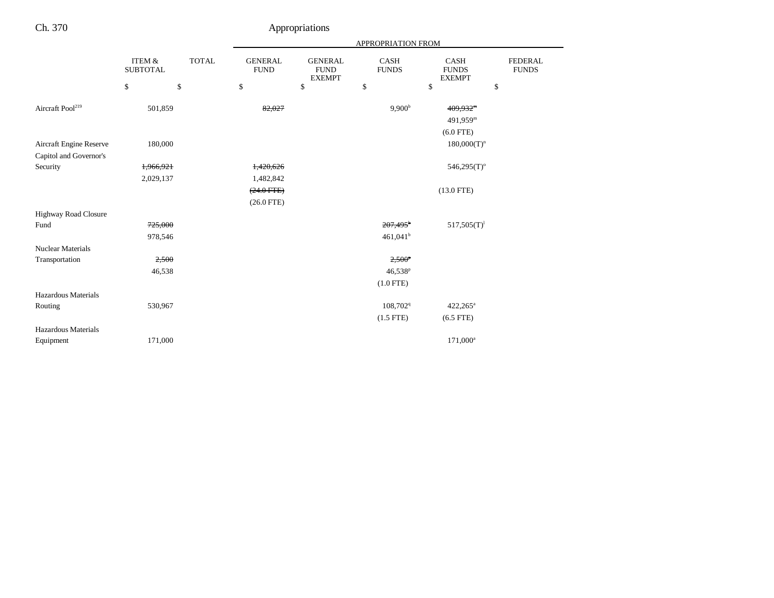|                              |                           |              |                               |                                                | APPROPRIATION FROM          |                                              |                                |
|------------------------------|---------------------------|--------------|-------------------------------|------------------------------------------------|-----------------------------|----------------------------------------------|--------------------------------|
|                              | ITEM &<br><b>SUBTOTAL</b> | <b>TOTAL</b> | <b>GENERAL</b><br><b>FUND</b> | <b>GENERAL</b><br><b>FUND</b><br><b>EXEMPT</b> | <b>CASH</b><br><b>FUNDS</b> | <b>CASH</b><br><b>FUNDS</b><br><b>EXEMPT</b> | <b>FEDERAL</b><br><b>FUNDS</b> |
|                              | \$                        | \$           | \$                            | \$                                             | \$                          | \$                                           | \$                             |
| Aircraft Pool <sup>219</sup> | 501,859                   |              | 82,027                        |                                                | 9,900 <sup>b</sup>          | 409,932 <sup>m</sup>                         |                                |
|                              |                           |              |                               |                                                |                             | 491,959m                                     |                                |
|                              |                           |              |                               |                                                |                             | $(6.0$ FTE)                                  |                                |
|                              |                           |              |                               |                                                |                             |                                              |                                |
| Aircraft Engine Reserve      | 180,000                   |              |                               |                                                |                             | $180,000(T)^n$                               |                                |
| Capitol and Governor's       |                           |              |                               |                                                |                             |                                              |                                |
| Security                     | 1,966,921                 |              | 1,420,626                     |                                                |                             | $546,295(T)$ <sup>o</sup>                    |                                |
|                              | 2,029,137                 |              | 1,482,842                     |                                                |                             |                                              |                                |
|                              |                           |              | $(24.0$ FTE)                  |                                                |                             | $(13.0$ FTE)                                 |                                |
|                              |                           |              | $(26.0$ FTE)                  |                                                |                             |                                              |                                |
| Highway Road Closure         |                           |              |                               |                                                |                             |                                              |                                |
| Fund                         | 725,000                   |              |                               |                                                | $207,495^{\circ}$           | $517,505(T)^1$                               |                                |
|                              | 978,546                   |              |                               |                                                | 461,041 <sup>b</sup>        |                                              |                                |
| <b>Nuclear Materials</b>     |                           |              |                               |                                                |                             |                                              |                                |
| Transportation               | 2,500                     |              |                               |                                                | $2,500^p$                   |                                              |                                |
|                              | 46,538                    |              |                               |                                                | 46,538 <sup>p</sup>         |                                              |                                |
|                              |                           |              |                               |                                                | $(1.0$ FTE)                 |                                              |                                |
| Hazardous Materials          |                           |              |                               |                                                |                             |                                              |                                |
| Routing                      | 530,967                   |              |                               |                                                | 108,702 <sup>q</sup>        | $422,265^{\circ}$                            |                                |
|                              |                           |              |                               |                                                | $(1.5$ FTE)                 | $(6.5$ FTE)                                  |                                |
| Hazardous Materials          |                           |              |                               |                                                |                             |                                              |                                |
| Equipment                    | 171,000                   |              |                               |                                                |                             | 171,000 <sup>a</sup>                         |                                |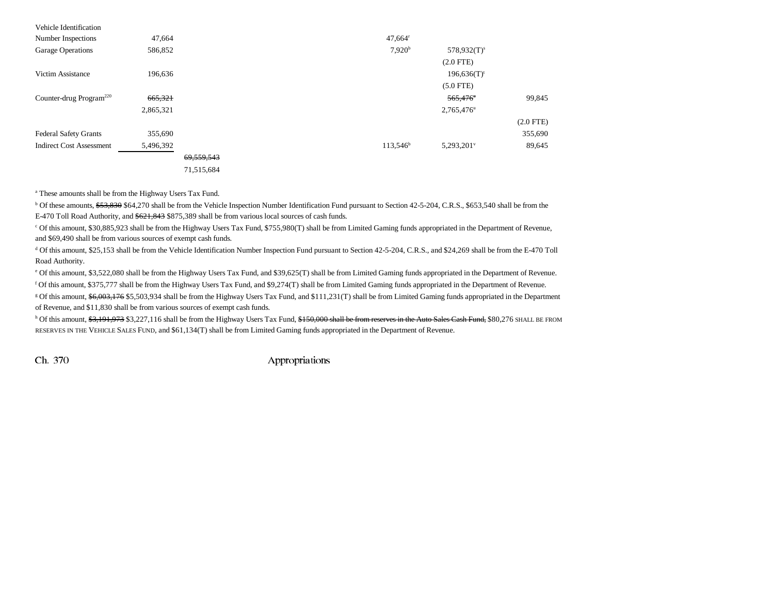| Vehicle Identification              |           |            |                       |                           |             |
|-------------------------------------|-----------|------------|-----------------------|---------------------------|-------------|
| Number Inspections                  | 47,664    |            | $47,664$ <sup>r</sup> |                           |             |
| Garage Operations                   | 586,852   |            | 7.920 <sup>b</sup>    | $578,932(T)^s$            |             |
|                                     |           |            |                       | $(2.0$ FTE)               |             |
| Victim Assistance                   | 196,636   |            |                       | $196,636(T)$ <sup>t</sup> |             |
|                                     |           |            |                       | $(5.0$ FTE)               |             |
| Counter-drug Program <sup>220</sup> | 665,321   |            |                       | 565,476                   | 99,845      |
|                                     | 2,865,321 |            |                       | 2,765,476 <sup>u</sup>    |             |
|                                     |           |            |                       |                           | $(2.0$ FTE) |
| <b>Federal Safety Grants</b>        | 355,690   |            |                       |                           | 355,690     |
| <b>Indirect Cost Assessment</b>     | 5,496,392 |            | $113,546^{\circ}$     | $5,293,201$ <sup>v</sup>  | 89,645      |
|                                     |           | 69.559.543 |                       |                           |             |
|                                     |           | 71,515,684 |                       |                           |             |

a These amounts shall be from the Highway Users Tax Fund.

<sup>b</sup> Of these amounts, \$53,830 \$64,270 shall be from the Vehicle Inspection Number Identification Fund pursuant to Section 42-5-204, C.R.S., \$653,540 shall be from the E-470 Toll Road Authority, and  $$621,843$  \$875,389 shall be from various local sources of cash funds.

c Of this amount, \$30,885,923 shall be from the Highway Users Tax Fund, \$755,980(T) shall be from Limited Gaming funds appropriated in the Department of Revenue, and \$69,490 shall be from various sources of exempt cash funds.

d Of this amount, \$25,153 shall be from the Vehicle Identification Number Inspection Fund pursuant to Section 42-5-204, C.R.S., and \$24,269 shall be from the E-470 Toll Road Authority.

e Of this amount, \$3,522,080 shall be from the Highway Users Tax Fund, and \$39,625(T) shall be from Limited Gaming funds appropriated in the Department of Revenue.

f Of this amount, \$375,777 shall be from the Highway Users Tax Fund, and \$9,274(T) shall be from Limited Gaming funds appropriated in the Department of Revenue.

<sup>g</sup> Of this amount, \$6,003,176 \$5,503,934 shall be from the Highway Users Tax Fund, and \$111,231(T) shall be from Limited Gaming funds appropriated in the Department of Revenue, and \$11,830 shall be from various sources of exempt cash funds.

h Of this amount, \$3,191,973 \$3,227,116 shall be from the Highway Users Tax Fund, \$150,000 shall be from reserves in the Auto Sales Cash Fund, \$80,276 SHALL BE FROM RESERVES IN THE VEHICLE SALES FUND, and \$61,134(T) shall be from Limited Gaming funds appropriated in the Department of Revenue.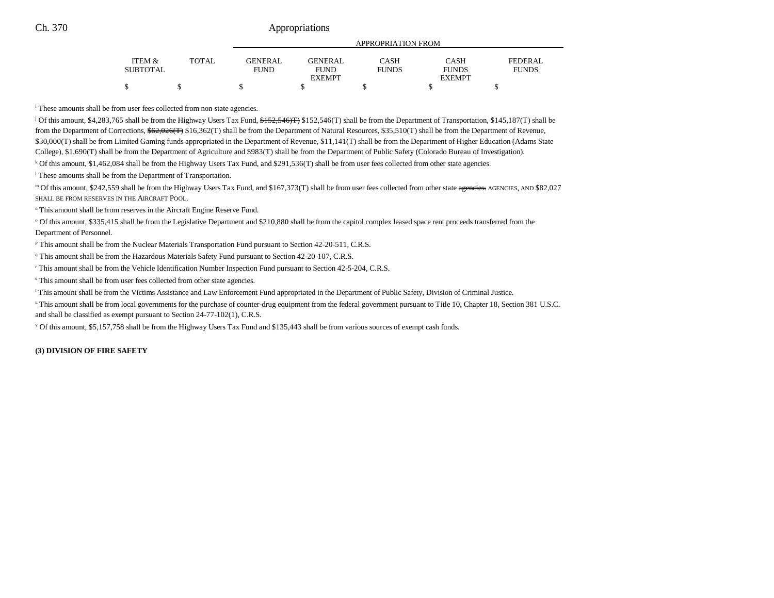|                           |              |                               |                               | APPROPRIATION FROM   |                      |                         |
|---------------------------|--------------|-------------------------------|-------------------------------|----------------------|----------------------|-------------------------|
|                           |              |                               |                               |                      |                      |                         |
| ITEM &<br><b>SUBTOTAL</b> | <b>TOTAL</b> | <b>GENERAL</b><br><b>FUND</b> | <b>GENERAL</b><br><b>FUND</b> | CASH<br><b>FUNDS</b> | CASH<br><b>FUNDS</b> | FEDERAL<br><b>FUNDS</b> |
|                           |              |                               | <b>EXEMPT</b>                 |                      | <b>EXEMPT</b>        |                         |
|                           |              |                               |                               |                      |                      |                         |

i These amounts shall be from user fees collected from non-state agencies.

<sup>j</sup> Of this amount, \$4,283,765 shall be from the Highway Users Tax Fund, \$152,546(T) shall be from the Department of Transportation, \$145,187(T) shall be from the Department of Corrections,  $62,026$ (T)  $$16,362$ (T) shall be from the Department of Natural Resources, \$35,510(T) shall be from the Department of Revenue, \$30,000(T) shall be from Limited Gaming funds appropriated in the Department of Revenue, \$11,141(T) shall be from the Department of Higher Education (Adams State College), \$1,690(T) shall be from the Department of Agriculture and \$983(T) shall be from the Department of Public Safety (Colorado Bureau of Investigation).

k Of this amount, \$1,462,084 shall be from the Highway Users Tax Fund, and \$291,536(T) shall be from user fees collected from other state agencies.

<sup>1</sup> These amounts shall be from the Department of Transportation.

m Of this amount, \$242,559 shall be from the Highway Users Tax Fund, and \$167,373(T) shall be from user fees collected from other state agencies. AGENCIES, AND \$82,027 SHALL BE FROM RESERVES IN THE AIRCRAFT POOL.

n This amount shall be from reserves in the Aircraft Engine Reserve Fund.

<sup>o</sup> Of this amount, \$335,415 shall be from the Legislative Department and \$210,880 shall be from the capitol complex leased space rent proceeds transferred from the Department of Personnel.

p This amount shall be from the Nuclear Materials Transportation Fund pursuant to Section 42-20-511, C.R.S.

<sup>q</sup> This amount shall be from the Hazardous Materials Safety Fund pursuant to Section 42-20-107, C.R.S.

r This amount shall be from the Vehicle Identification Number Inspection Fund pursuant to Section 42-5-204, C.R.S.

s This amount shall be from user fees collected from other state agencies.

t This amount shall be from the Victims Assistance and Law Enforcement Fund appropriated in the Department of Public Safety, Division of Criminal Justice.

u This amount shall be from local governments for the purchase of counter-drug equipment from the federal government pursuant to Title 10, Chapter 18, Section 381 U.S.C. and shall be classified as exempt pursuant to Section 24-77-102(1), C.R.S.

v Of this amount, \$5,157,758 shall be from the Highway Users Tax Fund and \$135,443 shall be from various sources of exempt cash funds.

**(3) DIVISION OF FIRE SAFETY**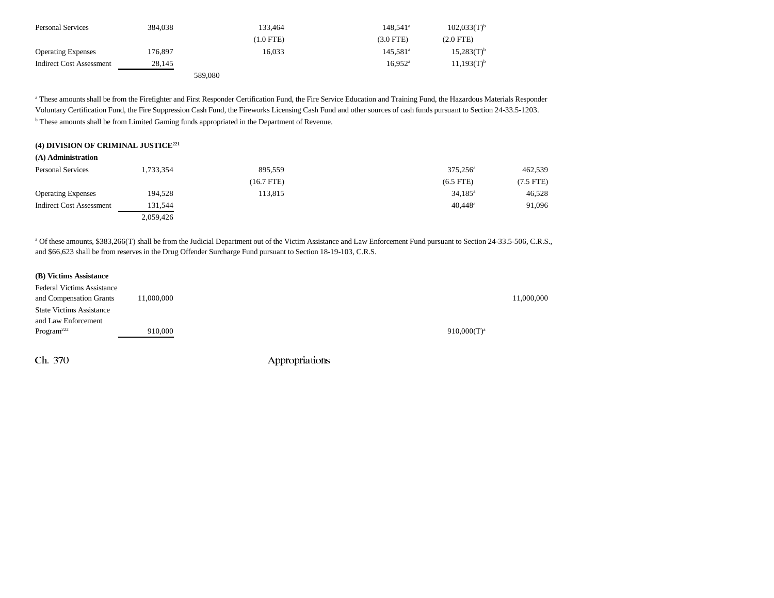| <b>Personal Services</b>  | 384.038 | 133.464     | $148.541^a$          | $102,033(T)^{b}$ |
|---------------------------|---------|-------------|----------------------|------------------|
|                           |         | $(1.0$ FTE) | $(3.0$ FTE)          | $(2.0$ FTE)      |
| <b>Operating Expenses</b> | 176,897 | 16.033      | 145.581 <sup>a</sup> | $15,283(T)^{b}$  |
| Indirect Cost Assessment  | 28.145  |             | $16.952^{\rm a}$     | $11,193(T)^{b}$  |
|                           |         | 589,080     |                      |                  |

a These amounts shall be from the Firefighter and First Responder Certification Fund, the Fire Service Education and Training Fund, the Hazardous Materials Responder Voluntary Certification Fund, the Fire Suppression Cash Fund, the Fireworks Licensing Cash Fund and other sources of cash funds pursuant to Section 24-33.5-1203. **b** These amounts shall be from Limited Gaming funds appropriated in the Department of Revenue.

## **(4) DIVISION OF CRIMINAL JUSTICE221**

| (A) Administration              |           |              |                       |           |
|---------------------------------|-----------|--------------|-----------------------|-----------|
| <b>Personal Services</b>        | 1,733,354 | 895,559      | 375.256 <sup>a</sup>  | 462,539   |
|                                 |           | $(16.7$ FTE) | $(6.5$ FTE)           | (7.5 FTE) |
| <b>Operating Expenses</b>       | 194.528   | 113,815      | $34,185^{\circ}$      | 46,528    |
| <b>Indirect Cost Assessment</b> | 131.544   |              | $40.448$ <sup>a</sup> | 91,096    |
|                                 | 2.059.426 |              |                       |           |

a Of these amounts, \$383,266(T) shall be from the Judicial Department out of the Victim Assistance and Law Enforcement Fund pursuant to Section 24-33.5-506, C.R.S., and \$66,623 shall be from reserves in the Drug Offender Surcharge Fund pursuant to Section 18-19-103, C.R.S.

#### **(B) Victims Assistance**

| Federal Victims Assistance      |            |                |  |
|---------------------------------|------------|----------------|--|
| and Compensation Grants         | 11,000,000 | 11,000,000     |  |
| <b>State Victims Assistance</b> |            |                |  |
| and Law Enforcement             |            |                |  |
| Program <sup>222</sup>          | 910.000    | $910,000(T)^a$ |  |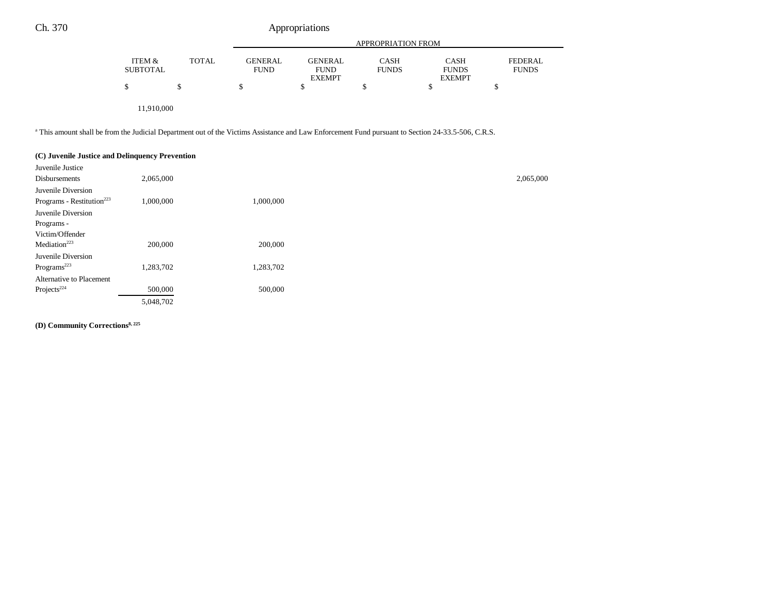|                           |              |                               |                                                | <b>APPROPRIATION FROM</b>   |                                              |                                |
|---------------------------|--------------|-------------------------------|------------------------------------------------|-----------------------------|----------------------------------------------|--------------------------------|
| ITEM &<br><b>SUBTOTAL</b> | <b>TOTAL</b> | <b>GENERAL</b><br><b>FUND</b> | <b>GENERAL</b><br><b>FUND</b><br><b>EXEMPT</b> | <b>CASH</b><br><b>FUNDS</b> | <b>CASH</b><br><b>FUNDS</b><br><b>EXEMPT</b> | <b>FEDERAL</b><br><b>FUNDS</b> |
| \$                        |              |                               |                                                |                             |                                              |                                |
|                           |              |                               |                                                |                             |                                              |                                |

11,910,000

a This amount shall be from the Judicial Department out of the Victims Assistance and Law Enforcement Fund pursuant to Section 24-33.5-506, C.R.S.

| (C) Juvenile Justice and Delinquency Prevention |           |           |
|-------------------------------------------------|-----------|-----------|
| Juvenile Justice                                |           |           |
| Disbursements                                   | 2,065,000 |           |
| Juvenile Diversion                              |           |           |
| Programs - Restitution <sup>223</sup>           | 1,000,000 | 1,000,000 |
| Juvenile Diversion                              |           |           |
| Programs -                                      |           |           |
| Victim/Offender                                 |           |           |
| Mediation <sup>223</sup>                        | 200,000   | 200,000   |
| Juvenile Diversion                              |           |           |
| Programs <sup>223</sup>                         | 1,283,702 | 1,283,702 |
| Alternative to Placement                        |           |           |
| Projects <sup>224</sup>                         | 500,000   | 500,000   |
|                                                 | 5,048,702 |           |

**(D) Community Corrections8, 225**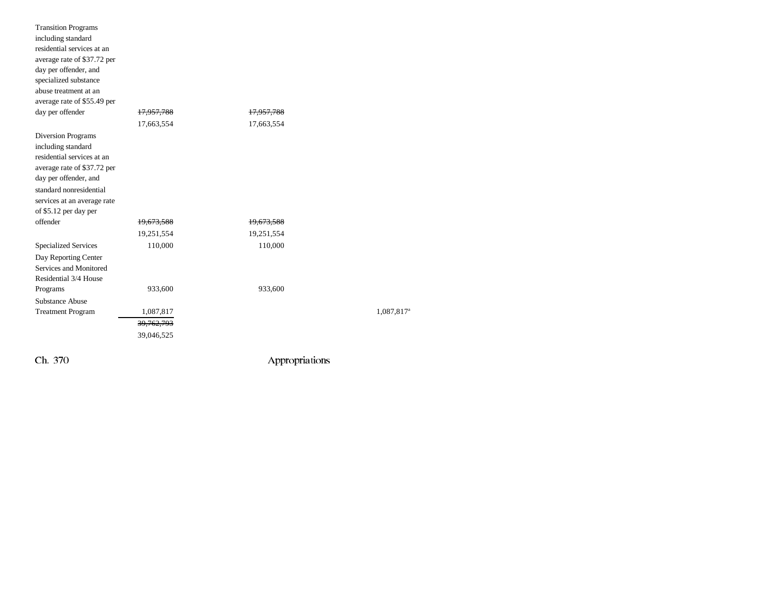| <b>Transition Programs</b>  |                       |            |                        |
|-----------------------------|-----------------------|------------|------------------------|
| including standard          |                       |            |                        |
| residential services at an  |                       |            |                        |
| average rate of \$37.72 per |                       |            |                        |
| day per offender, and       |                       |            |                        |
| specialized substance       |                       |            |                        |
| abuse treatment at an       |                       |            |                        |
| average rate of \$55.49 per |                       |            |                        |
| day per offender            | <del>17,957,788</del> | 17,957,788 |                        |
|                             | 17,663,554            | 17,663,554 |                        |
| Diversion Programs          |                       |            |                        |
| including standard          |                       |            |                        |
| residential services at an  |                       |            |                        |
| average rate of \$37.72 per |                       |            |                        |
| day per offender, and       |                       |            |                        |
| standard nonresidential     |                       |            |                        |
| services at an average rate |                       |            |                        |
| of \$5.12 per day per       |                       |            |                        |
| offender                    | 19,673,588            | 19,673,588 |                        |
|                             | 19,251,554            | 19,251,554 |                        |
| <b>Specialized Services</b> | 110,000               | 110,000    |                        |
| Day Reporting Center        |                       |            |                        |
| Services and Monitored      |                       |            |                        |
| Residential 3/4 House       |                       |            |                        |
| Programs                    | 933,600               | 933,600    |                        |
| <b>Substance Abuse</b>      |                       |            |                        |
| <b>Treatment Program</b>    | 1,087,817             |            | 1,087,817 <sup>a</sup> |
|                             | 39, 762, 793          |            |                        |
|                             | 39,046,525            |            |                        |
|                             |                       |            |                        |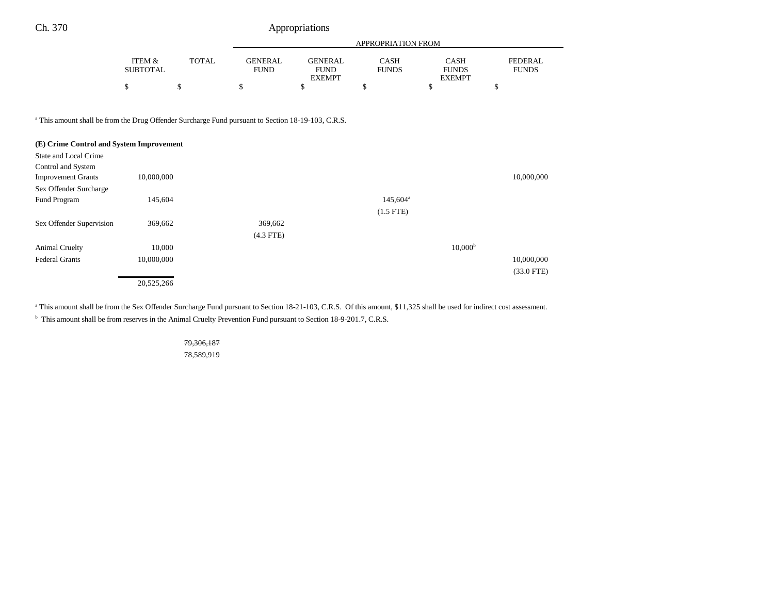|                           |        |                               | APPROPRIATION FROM            |                      |                             |                         |
|---------------------------|--------|-------------------------------|-------------------------------|----------------------|-----------------------------|-------------------------|
|                           |        |                               |                               |                      |                             |                         |
| ITEM &<br><b>SUBTOTAL</b> | TOTAL. | <b>GENERAL</b><br><b>FUND</b> | <b>GENERAL</b><br><b>FUND</b> | CASH<br><b>FUNDS</b> | <b>CASH</b><br><b>FUNDS</b> | FEDERAL<br><b>FUNDS</b> |
|                           |        |                               | <b>EXEMPT</b>                 |                      | <b>EXEMPT</b>               |                         |
|                           |        | ሖ                             |                               |                      |                             |                         |

a This amount shall be from the Drug Offender Surcharge Fund pursuant to Section 18-19-103, C.R.S.

| (E) Crime Control and System Improvement |            |             |                   |                     |              |
|------------------------------------------|------------|-------------|-------------------|---------------------|--------------|
| State and Local Crime                    |            |             |                   |                     |              |
| Control and System                       |            |             |                   |                     |              |
| <b>Improvement Grants</b>                | 10,000,000 |             |                   |                     | 10,000,000   |
| Sex Offender Surcharge                   |            |             |                   |                     |              |
| Fund Program                             | 145,604    |             | $145,604^{\circ}$ |                     |              |
|                                          |            |             | $(1.5$ FTE)       |                     |              |
| Sex Offender Supervision                 | 369,662    | 369,662     |                   |                     |              |
|                                          |            | $(4.3$ FTE) |                   |                     |              |
| <b>Animal Cruelty</b>                    | 10,000     |             |                   | 10,000 <sup>b</sup> |              |
| <b>Federal Grants</b>                    | 10,000,000 |             |                   |                     | 10,000,000   |
|                                          |            |             |                   |                     | $(33.0$ FTE) |
|                                          | 20,525,266 |             |                   |                     |              |

<sup>a</sup> This amount shall be from the Sex Offender Surcharge Fund pursuant to Section 18-21-103, C.R.S. Of this amount, \$11,325 shall be used for indirect cost assessment.

<sup>b</sup> This amount shall be from reserves in the Animal Cruelty Prevention Fund pursuant to Section 18-9-201.7, C.R.S.

79,306,187 78,589,919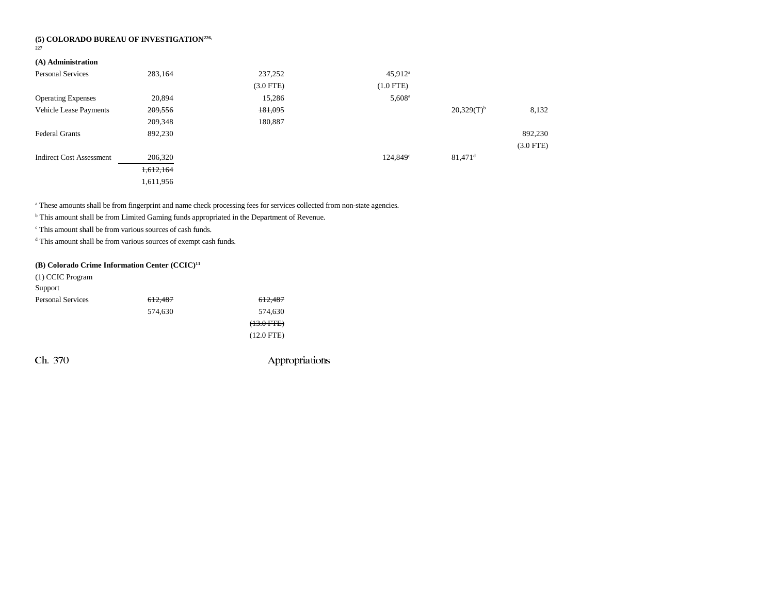# **(5) COLORADO BUREAU OF INVESTIGATION226, 227**

# **(A) Administration**

| Personal Services               | 283,164   | 237,252     | $45,912^{\rm a}$  |                       |             |
|---------------------------------|-----------|-------------|-------------------|-----------------------|-------------|
|                                 |           | $(3.0$ FTE) | $(1.0$ FTE $)$    |                       |             |
| <b>Operating Expenses</b>       | 20,894    | 15,286      | $5,608^{\circ}$   |                       |             |
| <b>Vehicle Lease Payments</b>   | 209,556   | 181,095     |                   | $20,329(T)^{b}$       | 8,132       |
|                                 | 209,348   | 180,887     |                   |                       |             |
| <b>Federal Grants</b>           | 892,230   |             |                   |                       | 892,230     |
|                                 |           |             |                   |                       | $(3.0$ FTE) |
| <b>Indirect Cost Assessment</b> | 206,320   |             | $124,849^{\circ}$ | $81,471$ <sup>d</sup> |             |
|                                 | 1,612,164 |             |                   |                       |             |
|                                 | 1,611,956 |             |                   |                       |             |

<sup>a</sup> These amounts shall be from fingerprint and name check processing fees for services collected from non-state agencies.

b This amount shall be from Limited Gaming funds appropriated in the Department of Revenue.

c This amount shall be from various sources of cash funds.

d This amount shall be from various sources of exempt cash funds.

## **(B) Colorado Crime Information Center (CCIC)11**

| (1) CCIC Program         |                    |              |
|--------------------------|--------------------|--------------|
| Support                  |                    |              |
| <b>Personal Services</b> | <del>612,487</del> | 612,487      |
|                          | 574,630            | 574,630      |
|                          |                    | $(13.0 FFE)$ |
|                          |                    | $(12.0$ FTE) |
|                          |                    |              |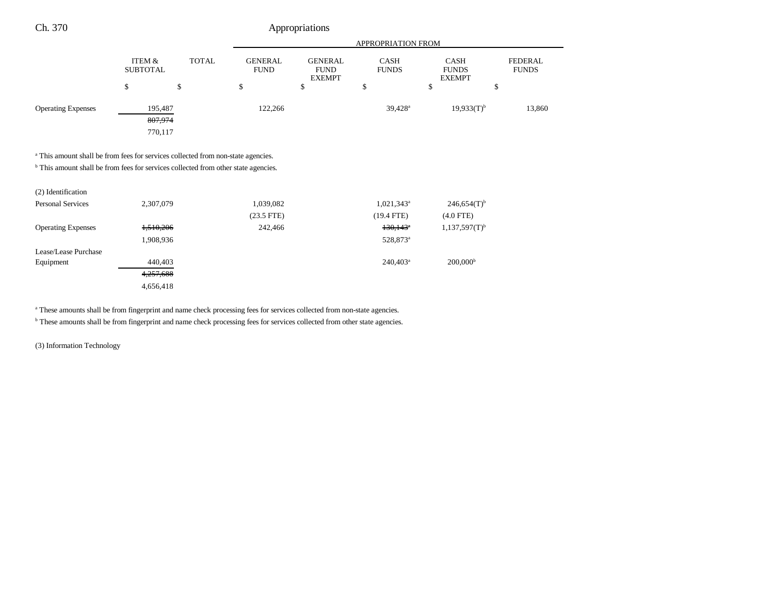|                           |                                           |                                                                                 | APPROPRIATION FROM |                                                                             |                        |                                |        |
|---------------------------|-------------------------------------------|---------------------------------------------------------------------------------|--------------------|-----------------------------------------------------------------------------|------------------------|--------------------------------|--------|
|                           | <b>TOTAL</b><br>ITEM &<br><b>SUBTOTAL</b> | <b>GENERAL</b><br><b>GENERAL</b><br><b>FUND</b><br><b>FUND</b><br><b>EXEMPT</b> |                    | <b>CASH</b><br><b>CASH</b><br><b>FUNDS</b><br><b>FUNDS</b><br><b>EXEMPT</b> |                        | <b>FEDERAL</b><br><b>FUNDS</b> |        |
|                           |                                           | ¢<br>P                                                                          | \$                 | Φ                                                                           | $\triangleright$<br>J. | P                              | \$     |
| <b>Operating Expenses</b> | 195,487<br>807,974<br>770,117             |                                                                                 | 122,266            |                                                                             | $39,428$ <sup>a</sup>  | $19,933(T)^{b}$                | 13,860 |

<sup>a</sup> This amount shall be from fees for services collected from non-state agencies.

 $<sup>b</sup>$  This amount shall be from fees for services collected from other state agencies.</sup>

| (2) Identification        |           |              |                          |                             |
|---------------------------|-----------|--------------|--------------------------|-----------------------------|
| Personal Services         | 2,307,079 | 1,039,082    | $1,021,343$ <sup>a</sup> | $246,654(T)$ <sup>b</sup>   |
|                           |           | $(23.5$ FTE) | (19.4 FTE)               | $(4.0$ FTE)                 |
| <b>Operating Expenses</b> | 1,510,206 | 242,466      | $130,143$ <sup>a</sup>   | $1,137,597(T)$ <sup>b</sup> |
|                           | 1,908,936 |              | 528,873 <sup>a</sup>     |                             |
| Lease/Lease Purchase      |           |              |                          |                             |
| Equipment                 | 440,403   |              | $240.403^a$              | 200,000 <sup>b</sup>        |
|                           | 4,257,688 |              |                          |                             |
|                           | 4,656,418 |              |                          |                             |

<sup>a</sup> These amounts shall be from fingerprint and name check processing fees for services collected from non-state agencies.

**b** These amounts shall be from fingerprint and name check processing fees for services collected from other state agencies.

(3) Information Technology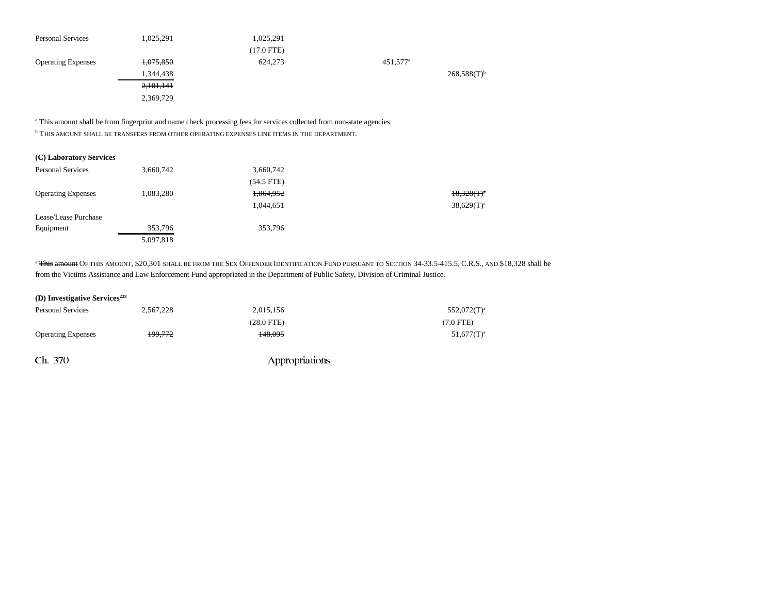| <b>Personal Services</b>  | 1,025,291 | 1,025,291    |                      |                  |
|---------------------------|-----------|--------------|----------------------|------------------|
|                           |           | $(17.0$ FTE) |                      |                  |
| <b>Operating Expenses</b> | 1,075,850 | 624,273      | 451,577 <sup>a</sup> |                  |
|                           | 1,344,438 |              |                      | $268,588(T)^{b}$ |
|                           | 2,101,141 |              |                      |                  |
|                           | 2,369,729 |              |                      |                  |

a This amount shall be from fingerprint and name check processing fees for services collected from non-state agencies.

 $^{\rm b}$  THIS AMOUNT SHALL BE TRANSFERS FROM OTHER OPERATING EXPENSES LINE ITEMS IN THE DEPARTMENT.

### **(C) Laboratory Services**

| <b>Personal Services</b>  | 3,660,742 | 3,660,742    |               |
|---------------------------|-----------|--------------|---------------|
|                           |           | $(54.5$ FTE) |               |
| <b>Operating Expenses</b> | 1,083,280 | 1,064,952    | $18,328(T)^n$ |
|                           |           | 1,044,651    | $38,629(T)^a$ |
| Lease/Lease Purchase      |           |              |               |
| Equipment                 | 353,796   | 353,796      |               |
|                           | 5,097,818 |              |               |

<sup>a</sup> <del>This amount</del> Of this amount, \$20,301 shall be from the Sex Offender Identification Fund pursuant to Section 34-33.5-415.5, C.R.S., and \$18,328 shall be from the Victims Assistance and Law Enforcement Fund appropriated in the Department of Public Safety, Division of Criminal Justice.

## **(D) Investigative Services**<sup>228</sup>

| <b>Personal Services</b>  | 2.567.228          | 2.015.156    | $552,072(T)^a$ |
|---------------------------|--------------------|--------------|----------------|
|                           |                    | $(28.0$ FTE) | $(7.0$ FTE)    |
| <b>Operating Expenses</b> | <del>199,772</del> | 148,095      | $51,677(T)^a$  |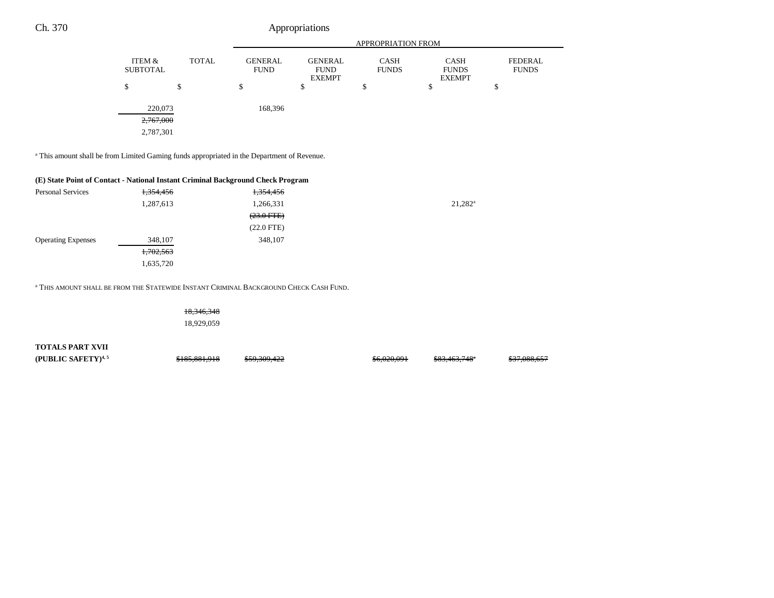|                                   |              |                               |                                                | <b>APPROPRIATION FROM</b>   |                                              |                                |
|-----------------------------------|--------------|-------------------------------|------------------------------------------------|-----------------------------|----------------------------------------------|--------------------------------|
| ITEM &<br><b>SUBTOTAL</b>         | <b>TOTAL</b> | <b>GENERAL</b><br><b>FUND</b> | <b>GENERAL</b><br><b>FUND</b><br><b>EXEMPT</b> | <b>CASH</b><br><b>FUNDS</b> | <b>CASH</b><br><b>FUNDS</b><br><b>EXEMPT</b> | <b>FEDERAL</b><br><b>FUNDS</b> |
| S                                 | \$           | \$                            | Φ                                              | Ф                           | \$                                           | $\triangle$<br>Φ               |
| 220,073<br>2,767,000<br>2,787,301 |              | 168,396                       |                                                |                             |                                              |                                |

a This amount shall be from Limited Gaming funds appropriated in the Department of Revenue.

#### **(E) State Point of Contact - National Instant Criminal Background Check Program**

| <b>Personal Services</b>  | <del>1,354,456</del> | <del>1,354,456</del> |                  |
|---------------------------|----------------------|----------------------|------------------|
|                           | 1,287,613            | 1,266,331            | $21,282^{\rm a}$ |
|                           |                      | $(23.0$ FTE $)$      |                  |
|                           |                      | $(22.0$ FTE)         |                  |
| <b>Operating Expenses</b> | 348,107              | 348,107              |                  |
|                           | 1,702,563            |                      |                  |
|                           | 1,635,720            |                      |                  |
|                           |                      |                      |                  |

a THIS AMOUNT SHALL BE FROM THE STATEWIDE INSTANT CRIMINAL BACKGROUND CHECK CASH FUND.

18,346,348 18,929,059

**TOTALS PART XVII (PUBLIC SAFETY)<sup>4,5</sup>** \$185,881,918 \$59,309,422 \$6,020,091 \$83,463,748<sup>\*</sup> \$37,088,657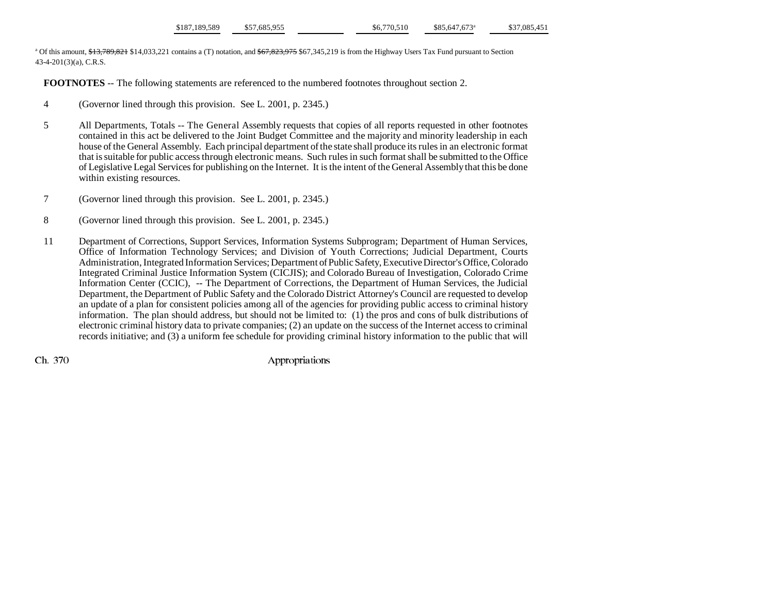| \$187,189,589<br>\$37,085,451<br>\$57,685,955<br>\$85,647,673 <sup>a</sup><br>\$6,770,510 |
|-------------------------------------------------------------------------------------------|
|-------------------------------------------------------------------------------------------|

<sup>a</sup> Of this amount, \$13,789,821 \$14,033,221 contains a (T) notation, and \$67,823,975 \$67,345,219 is from the Highway Users Tax Fund pursuant to Section 43-4-201(3)(a), C.R.S.

**FOOTNOTES** -- The following statements are referenced to the numbered footnotes throughout section 2.

- 4 (Governor lined through this provision. See L. 2001, p. 2345.)
- 5 All Departments, Totals -- The General Assembly requests that copies of all reports requested in other footnotes contained in this act be delivered to the Joint Budget Committee and the majority and minority leadership in each house of the General Assembly. Each principal department of the state shall produce its rules in an electronic format that is suitable for public access through electronic means. Such rules in such format shall be submitted to the Office of Legislative Legal Services for publishing on the Internet. It is the intent of the General Assembly that this be done within existing resources.
- 7 (Governor lined through this provision. See L. 2001, p. 2345.)
- 8 (Governor lined through this provision. See L. 2001, p. 2345.)
- 11 Department of Corrections, Support Services, Information Systems Subprogram; Department of Human Services, Office of Information Technology Services; and Division of Youth Corrections; Judicial Department, Courts Administration, Integrated Information Services; Department of Public Safety, Executive Director's Office, Colorado Integrated Criminal Justice Information System (CICJIS); and Colorado Bureau of Investigation, Colorado Crime Information Center (CCIC), -- The Department of Corrections, the Department of Human Services, the Judicial Department, the Department of Public Safety and the Colorado District Attorney's Council are requested to develop an update of a plan for consistent policies among all of the agencies for providing public access to criminal history information. The plan should address, but should not be limited to: (1) the pros and cons of bulk distributions of electronic criminal history data to private companies; (2) an update on the success of the Internet access to criminal records initiative; and (3) a uniform fee schedule for providing criminal history information to the public that will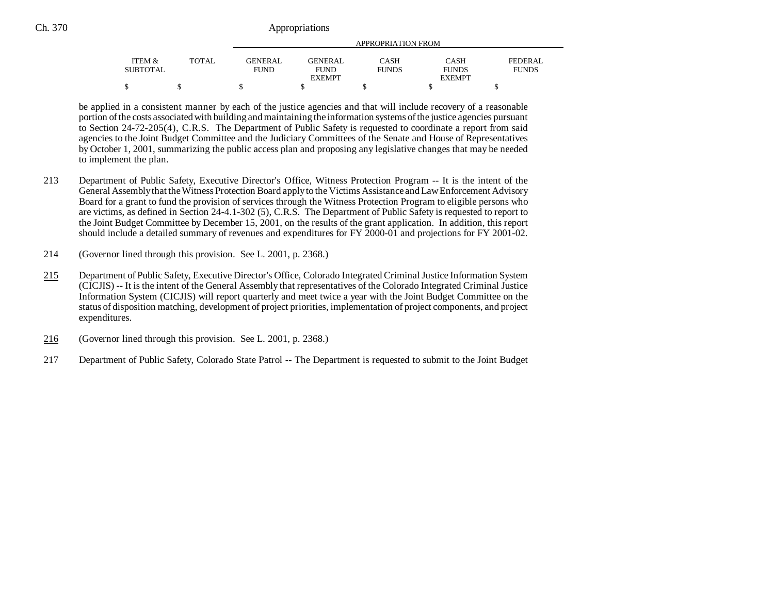|          |              | APPROPRIATION FROM |                |              |               |                |  |  |
|----------|--------------|--------------------|----------------|--------------|---------------|----------------|--|--|
| ITEM &   | <b>TOTAL</b> | <b>GENERAL</b>     | <b>GENERAL</b> | CASH         | <b>CASH</b>   | <b>FEDERAL</b> |  |  |
| SUBTOTAL |              | FUND               | <b>FUND</b>    | <b>FUNDS</b> | <b>FUNDS</b>  | <b>FUNDS</b>   |  |  |
|          |              |                    | <b>EXEMPT</b>  |              | <b>EXEMPT</b> |                |  |  |
|          |              |                    |                |              |               |                |  |  |

be applied in a consistent manner by each of the justice agencies and that will include recovery of a reasonable portion of the costs associated with building and maintaining the information systems of the justice agencies pursuant to Section 24-72-205(4), C.R.S. The Department of Public Safety is requested to coordinate a report from said agencies to the Joint Budget Committee and the Judiciary Committees of the Senate and House of Representatives by October 1, 2001, summarizing the public access plan and proposing any legislative changes that may be needed to implement the plan.

- 213 Department of Public Safety, Executive Director's Office, Witness Protection Program -- It is the intent of the General Assembly that the Witness Protection Board apply to the Victims Assistance and Law Enforcement Advisory Board for a grant to fund the provision of services through the Witness Protection Program to eligible persons who are victims, as defined in Section 24-4.1-302 (5), C.R.S. The Department of Public Safety is requested to report to the Joint Budget Committee by December 15, 2001, on the results of the grant application. In addition, this report should include a detailed summary of revenues and expenditures for FY 2000-01 and projections for FY 2001-02.
- 214 (Governor lined through this provision. See L. 2001, p. 2368.)
- 215 Department of Public Safety, Executive Director's Office, Colorado Integrated Criminal Justice Information System (CICJIS) -- It is the intent of the General Assembly that representatives of the Colorado Integrated Criminal Justice Information System (CICJIS) will report quarterly and meet twice a year with the Joint Budget Committee on the status of disposition matching, development of project priorities, implementation of project components, and project expenditures.
- 216(Governor lined through this provision. See L. 2001, p. 2368.)
- 217 Department of Public Safety, Colorado State Patrol -- The Department is requested to submit to the Joint Budget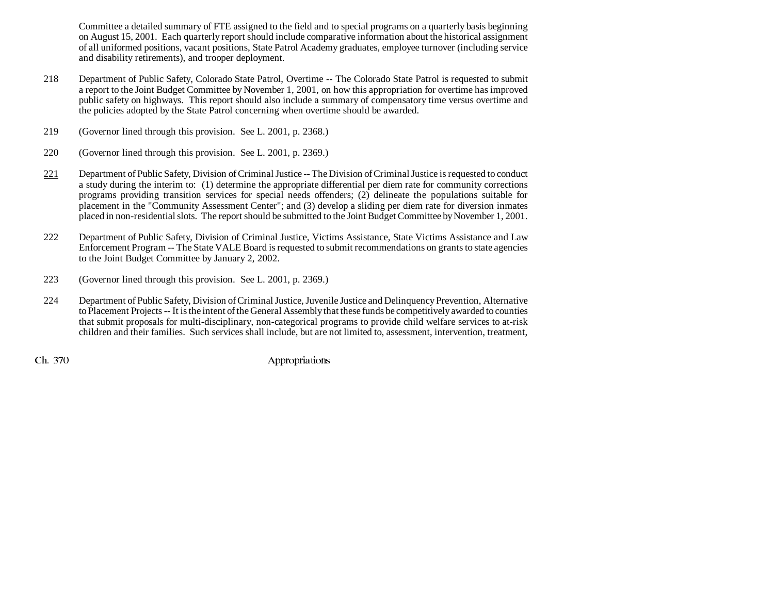Committee a detailed summary of FTE assigned to the field and to special programs on a quarterly basis beginning on August 15, 2001. Each quarterly report should include comparative information about the historical assignment of all uniformed positions, vacant positions, State Patrol Academy graduates, employee turnover (including service and disability retirements), and trooper deployment.

- 218 Department of Public Safety, Colorado State Patrol, Overtime -- The Colorado State Patrol is requested to submit a report to the Joint Budget Committee by November 1, 2001, on how this appropriation for overtime has improved public safety on highways. This report should also include a summary of compensatory time versus overtime and the policies adopted by the State Patrol concerning when overtime should be awarded.
- 219 (Governor lined through this provision. See L. 2001, p. 2368.)
- 220 (Governor lined through this provision. See L. 2001, p. 2369.)
- 221 Department of Public Safety, Division of Criminal Justice -- The Division of Criminal Justice is requested to conduct a study during the interim to: (1) determine the appropriate differential per diem rate for community corrections programs providing transition services for special needs offenders; (2) delineate the populations suitable for placement in the "Community Assessment Center"; and (3) develop a sliding per diem rate for diversion inmates placed in non-residential slots. The report should be submitted to the Joint Budget Committee by November 1, 2001.
- 222 Department of Public Safety, Division of Criminal Justice, Victims Assistance, State Victims Assistance and Law Enforcement Program -- The State VALE Board is requested to submit recommendations on grants to state agencies to the Joint Budget Committee by January 2, 2002.
- 223 (Governor lined through this provision. See L. 2001, p. 2369.)
- 224 Department of Public Safety, Division of Criminal Justice, Juvenile Justice and Delinquency Prevention, Alternative to Placement Projects -- It is the intent of the General Assembly that these funds be competitively awarded to counties that submit proposals for multi-disciplinary, non-categorical programs to provide child welfare services to at-risk children and their families. Such services shall include, but are not limited to, assessment, intervention, treatment,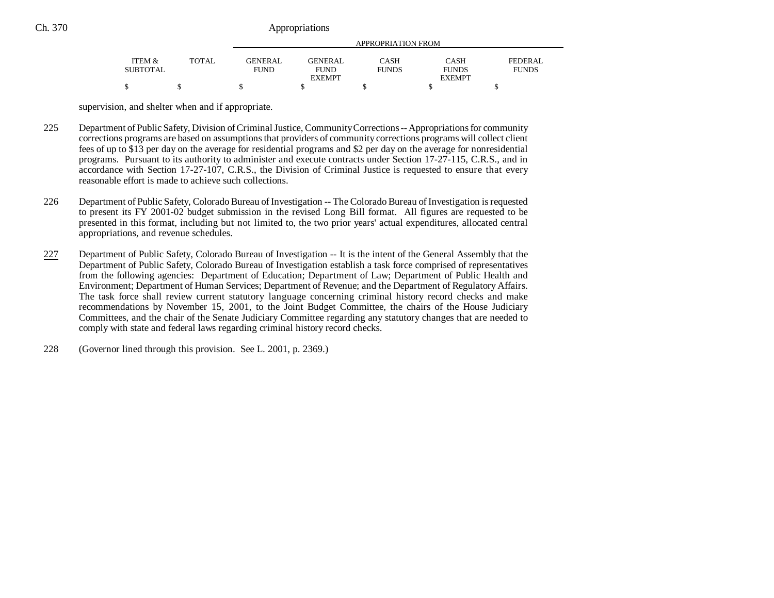|          |              | APPROPRIATION FROM |                |              |               |              |  |
|----------|--------------|--------------------|----------------|--------------|---------------|--------------|--|
| ITEM &   | <b>TOTAL</b> | <b>GENERAL</b>     | <b>GENERAL</b> | CASH         | <b>CASH</b>   | FEDERAL      |  |
| SUBTOTAL |              | <b>FUND</b>        | <b>FUND</b>    | <b>FUNDS</b> | <b>FUNDS</b>  | <b>FUNDS</b> |  |
|          |              |                    | <b>EXEMPT</b>  |              | <b>EXEMPT</b> |              |  |
| \$       |              |                    |                |              |               |              |  |

supervision, and shelter when and if appropriate.

- 225 Department of Public Safety, Division of Criminal Justice, Community Corrections -- Appropriations for community corrections programs are based on assumptions that providers of community corrections programs will collect client fees of up to \$13 per day on the average for residential programs and \$2 per day on the average for nonresidential programs. Pursuant to its authority to administer and execute contracts under Section 17-27-115, C.R.S., and in accordance with Section 17-27-107, C.R.S., the Division of Criminal Justice is requested to ensure that every reasonable effort is made to achieve such collections.
- 226 Department of Public Safety, Colorado Bureau of Investigation -- The Colorado Bureau of Investigation is requested to present its FY 2001-02 budget submission in the revised Long Bill format. All figures are requested to be presented in this format, including but not limited to, the two prior years' actual expenditures, allocated central appropriations, and revenue schedules.
- 227 Department of Public Safety, Colorado Bureau of Investigation -- It is the intent of the General Assembly that the Department of Public Safety, Colorado Bureau of Investigation establish a task force comprised of representatives from the following agencies: Department of Education; Department of Law; Department of Public Health and Environment; Department of Human Services; Department of Revenue; and the Department of Regulatory Affairs. The task force shall review current statutory language concerning criminal history record checks and make recommendations by November 15, 2001, to the Joint Budget Committee, the chairs of the House Judiciary Committees, and the chair of the Senate Judiciary Committee regarding any statutory changes that are needed to comply with state and federal laws regarding criminal history record checks.
- 228 (Governor lined through this provision. See L. 2001, p. 2369.)